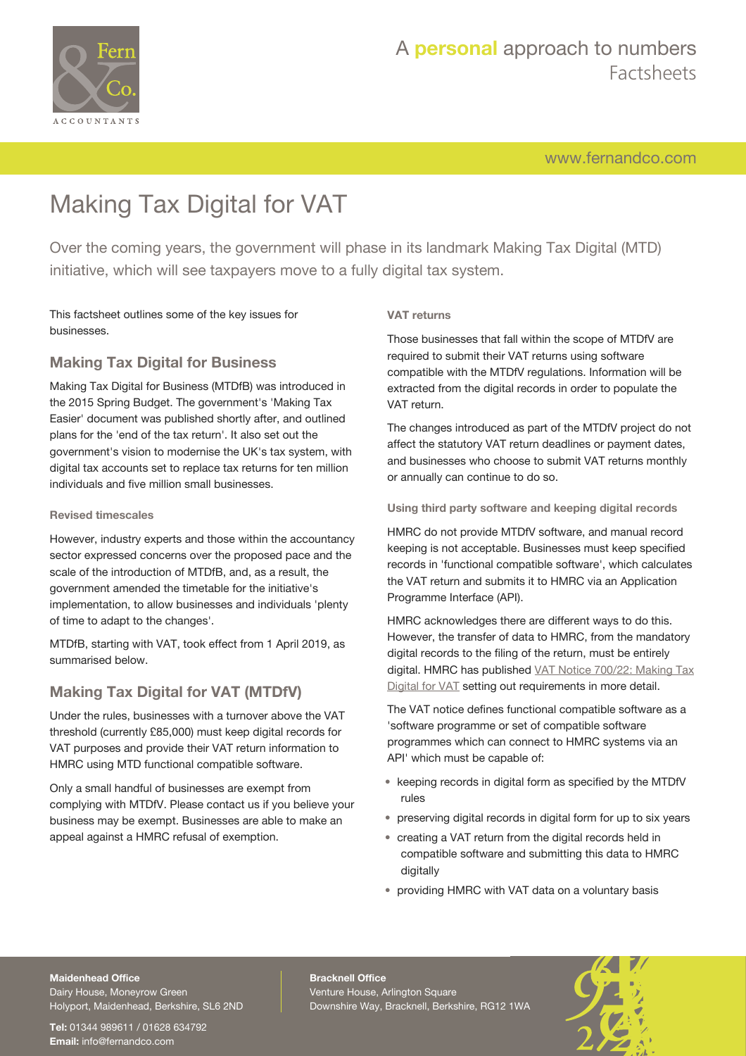

[www.fernandco.com](http://www.fernandco.com)

# Making Tax Digital for VAT

Over the coming years, the government will phase in its landmark Making Tax Digital (MTD) initiative, which will see taxpayers move to a fully digital tax system.

This factsheet outlines some of the key issues for businesses.

## **Making Tax Digital for Business**

Making Tax Digital for Business (MTDfB) was introduced in the 2015 Spring Budget. The government's 'Making Tax Easier' document was published shortly after, and outlined plans for the 'end of the tax return'. It also set out the government's vision to modernise the UK's tax system, with digital tax accounts set to replace tax returns for ten million individuals and five million small businesses.

### **Revised timescales**

However, industry experts and those within the accountancy sector expressed concerns over the proposed pace and the scale of the introduction of MTDfB, and, as a result, the government amended the timetable for the initiative's implementation, to allow businesses and individuals 'plenty of time to adapt to the changes'.

MTDfB, starting with VAT, took effect from 1 April 2019, as summarised below.

## **Making Tax Digital for VAT (MTDfV)**

Under the rules, businesses with a turnover above the VAT threshold (currently £85,000) must keep digital records for VAT purposes and provide their VAT return information to HMRC using MTD functional compatible software.

Only a small handful of businesses are exempt from complying with MTDfV. Please contact us if you believe your business may be exempt. Businesses are able to make an appeal against a HMRC refusal of exemption.

### **VAT returns**

Those businesses that fall within the scope of MTDfV are required to submit their VAT returns using software compatible with the MTDfV regulations. Information will be extracted from the digital records in order to populate the VAT return.

The changes introduced as part of the MTDfV project do not affect the statutory VAT return deadlines or payment dates, and businesses who choose to submit VAT returns monthly or annually can continue to do so.

### **Using third party software and keeping digital records**

HMRC do not provide MTDfV software, and manual record keeping is not acceptable. Businesses must keep specified records in 'functional compatible software', which calculates the VAT return and submits it to HMRC via an Application Programme Interface (API).

HMRC acknowledges there are different ways to do this. However, the transfer of data to HMRC, from the mandatory digital records to the filing of the return, must be entirely digital. HMRC has published [VAT Notice 700/22: Making Tax](https://www.gov.uk/government/publications/vat-notice-70022-making-tax-digital-for-vat) [Digital for VAT](https://www.gov.uk/government/publications/vat-notice-70022-making-tax-digital-for-vat) setting out requirements in more detail.

The VAT notice defines functional compatible software as a 'software programme or set of compatible software programmes which can connect to HMRC systems via an API' which must be capable of:

- keeping records in digital form as specified by the MTDfV rules
- preserving digital records in digital form for up to six years
- creating a VAT return from the digital records held in compatible software and submitting this data to HMRC digitally
- providing HMRC with VAT data on a voluntary basis

## **Maidenhead Office**

Dairy House, Moneyrow Green Holyport, Maidenhead, Berkshire, SL6 2ND

**Tel:** 01344 989611 / 01628 634792 **Email:** [info@fernandco.com](mailto:info@fernandco.com)

**Bracknell Office** Venture House, Arlington Square Downshire Way, Bracknell, Berkshire, RG12 1WA